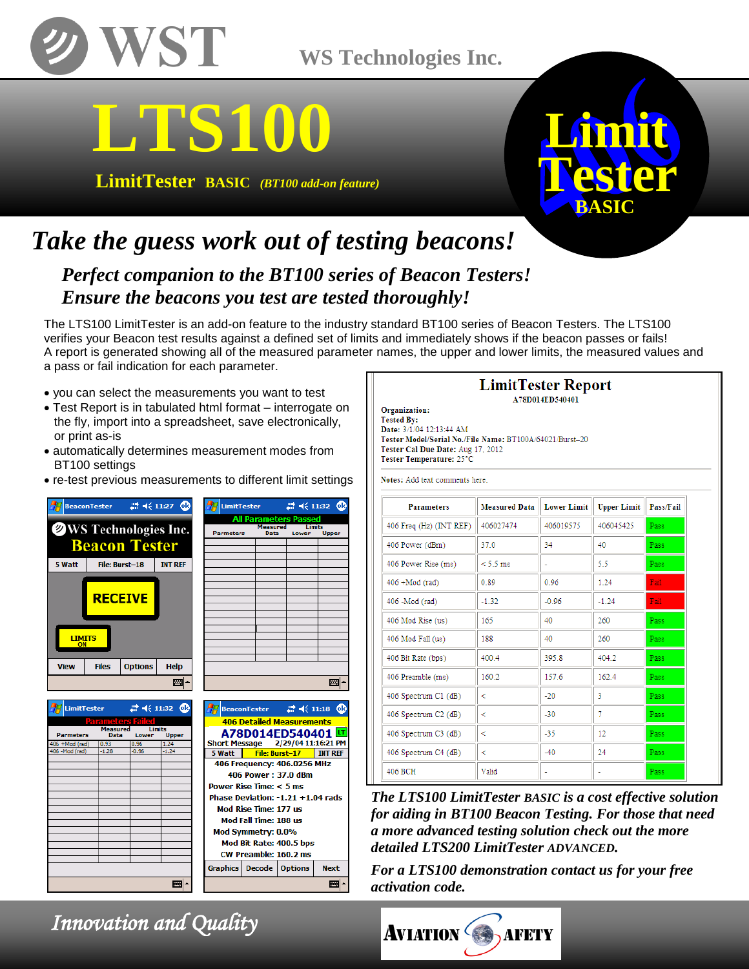

## **WS Technologies Inc.**

# **LTS100**

**LimitTester BASIC** *(BT100 add-on feature)*



## *Take the guess work out of testing beacons!*

*Perfect companion to the BT100 series of Beacon Testers! Ensure the beacons you test are tested thoroughly!*

,<br>Upper

The LTS100 LimitTester is an add-on feature to the industry standard BT100 series of Beacon Testers. The LTS100 verifies your Beacon test results against a defined set of limits and immediately shows if the beacon passes or fails! A report is generated showing all of the measured parameter names, the upper and lower limits, the measured values and a pass or fail indication for each parameter.

- you can select the measurements you want to test
- Test Report is in tabulated html format interrogate on the fly, import into a spreadsheet, save electronically, or print as-is
- automatically determines measurement modes from BT100 settings
- re-test previous measurements to different limit settings



106 - Mod (rad

| 圏                                 |        |                                                                        |  |  |                |    |  |
|-----------------------------------|--------|------------------------------------------------------------------------|--|--|----------------|----|--|
|                                   |        |                                                                        |  |  |                |    |  |
|                                   |        | BeaconTester $\qquad \qquad \blacksquare$ $\blacktriangleleft$ ( 11:18 |  |  |                | юk |  |
| <b>406 Detailed Measurements</b>  |        |                                                                        |  |  |                |    |  |
| A78D014ED540401 뜨                 |        |                                                                        |  |  |                |    |  |
| Short Message 2/29/04 11:16:21 PM |        |                                                                        |  |  |                |    |  |
|                                   | 5 Watt | File: Burst-17                                                         |  |  | <b>INT REF</b> |    |  |
| 406 Frequency: 406.0256 MHz       |        |                                                                        |  |  |                |    |  |
| 406 Power: 37.0 dBm               |        |                                                                        |  |  |                |    |  |
| Power Rise Time: $< 5$ ms         |        |                                                                        |  |  |                |    |  |
| Phase Deviation: -1.21 +1.04 rads |        |                                                                        |  |  |                |    |  |
| Mod Rise Time: 177 us             |        |                                                                        |  |  |                |    |  |
| Mod Fall Time: 188 us             |        |                                                                        |  |  |                |    |  |
| Mod Symmetry: 0.0%                |        |                                                                        |  |  |                |    |  |
| Mod Bit Rate: 400.5 bps           |        |                                                                        |  |  |                |    |  |
| <b>CW Preamble: 160.2 ms</b>      |        |                                                                        |  |  |                |    |  |
|                                   |        | Graphics   Decode   Options                                            |  |  | <b>Next</b>    |    |  |
|                                   |        |                                                                        |  |  |                |    |  |

#### **LimitTester Report** A78D014ED540401

Organization: **Tested By:** Date: 3/1/04 12:13:44 AM Tester Model/Serial No./File Name: BT100A/64021/Burst-20 Tester Cal Due Date: Aug 17, 2012 Tester Temperature: 25°C

Notes: Add text comments here

| <b>Parameters</b>       | <b>Measured Data</b> | <b>Lower Limit</b> | <b>Upper Limit</b> | Pass/Fail |
|-------------------------|----------------------|--------------------|--------------------|-----------|
| 406 Freq (Hz) (INT REF) | 406027474            | 406019575          | 406045425          | Pass      |
| 406 Power (dBm)         | 37.0                 | 34                 | 40                 | Pass:     |
| 406 Power Rise (ms)     | $< 5.5$ ms           | ٠                  | 5.5                | Pass      |
| $406 + Mod (rad)$       | 0.89                 | 0.96               | 1.24               | Fail:     |
| 406 - Mod (rad)         | $-1.32$              | $-0.96$            | $-1.24$            | Fail:     |
| 406 Mod Rise (us)       | 165                  | 40                 | 260                | Pass      |
| 406 Mod Fall (us)       | 188                  | 40                 | 260                | Pass      |
| 406 Bit Rate (bps)      | 400.4                | 395.8              | 404.2              | Pass      |
| 406 Preamble (ms)       | 160.2                | 157.6              | 162.4              | Pass.     |
| 406 Spectrum C1 (dB)    | ≺                    | $-20$              | 3                  | Pass      |
| 406 Spectrum C2 (dB)    | ≺                    | $-30$              | 7                  | Pass:     |
| 406 Spectrum C3 (dB)    | ⋖                    | $-35$              | 12                 | Pass:     |
| 406 Spectrum C4 (dB)    | k                    | $-40$              | 24                 | Pass:     |
| 406 BCH                 | Valid                | $\overline{a}$     | ۰                  | Pass      |

*The LTS100 LimitTester BASIC is a cost effective solution for aiding in BT100 Beacon Testing. For those that need a more advanced testing solution check out the more detailed LTS200 LimitTester ADVANCED.* 

*For a LTS100 demonstration contact us for your free activation code.* 



 *Innovation and Quality* 

■|▲